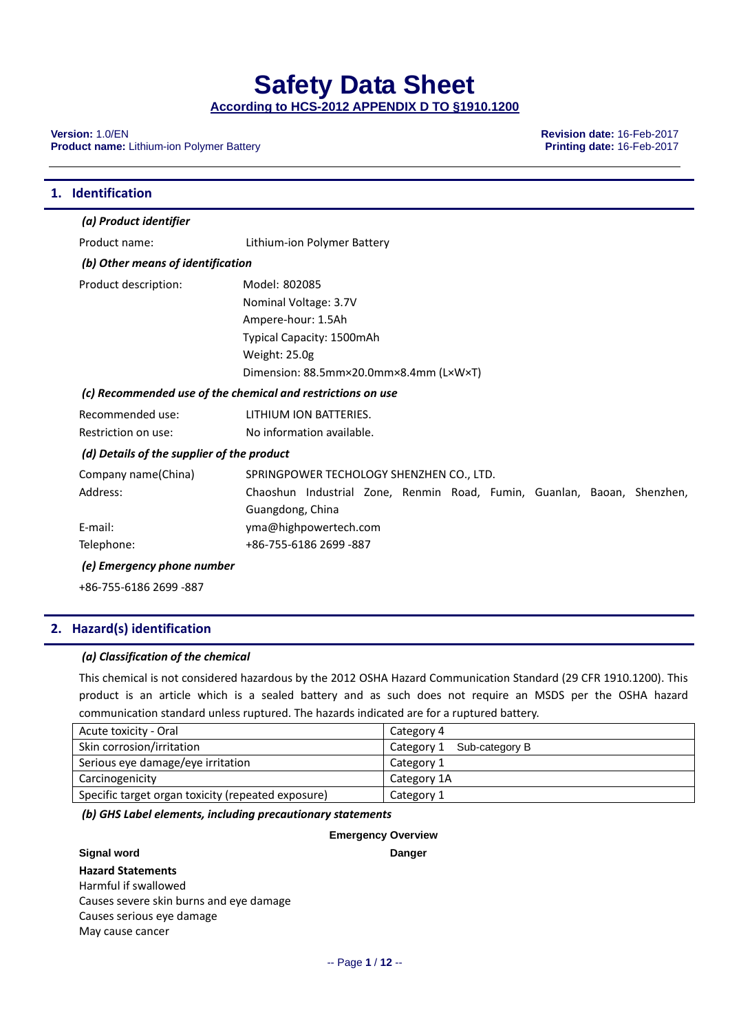**According to HCS-2012 APPENDIX D TO §1910.1200**

**Version:** 1.0/EN **Revision date:** 16-Feb-2017 **Product name:** Lithium-ion Polymer Battery

| 1. Identification                          |                                                                         |
|--------------------------------------------|-------------------------------------------------------------------------|
| (a) Product identifier                     |                                                                         |
| Product name:                              | Lithium-ion Polymer Battery                                             |
| (b) Other means of identification          |                                                                         |
| Product description:                       | Model: 802085                                                           |
|                                            | Nominal Voltage: 3.7V                                                   |
|                                            | Ampere-hour: 1.5Ah                                                      |
|                                            | Typical Capacity: 1500mAh                                               |
|                                            | Weight: 25.0g                                                           |
|                                            | Dimension: 88.5mm×20.0mm×8.4mm (L×W×T)                                  |
|                                            | (c) Recommended use of the chemical and restrictions on use             |
| Recommended use:                           | LITHIUM ION BATTERIES.                                                  |
| Restriction on use:                        | No information available.                                               |
| (d) Details of the supplier of the product |                                                                         |
| Company name(China)                        | SPRINGPOWER TECHOLOGY SHENZHEN CO., LTD.                                |
| Address:                                   | Chaoshun Industrial Zone, Renmin Road, Fumin, Guanlan, Baoan, Shenzhen, |
|                                            | Guangdong, China                                                        |
| E-mail:                                    | yma@highpowertech.com                                                   |
| Telephone:                                 | +86-755-6186 2699 -887                                                  |
| (e) Emergency phone number                 |                                                                         |
| +86-755-6186 2699 -887                     |                                                                         |

#### **2. Hazard(s) identification**

#### *(a) Classification of the chemical*

This chemical is not considered hazardous by the 2012 OSHA Hazard Communication Standard (29 CFR 1910.1200). This product is an article which is a sealed battery and as such does not require an MSDS per the OSHA hazard communication standard unless ruptured. The hazards indicated are for a ruptured battery.

| Acute toxicity - Oral                              | Category 4                |
|----------------------------------------------------|---------------------------|
| Skin corrosion/irritation                          | Category 1 Sub-category B |
| Serious eye damage/eye irritation                  | Category 1                |
| Carcinogenicity                                    | Category 1A               |
| Specific target organ toxicity (repeated exposure) | Category 1                |

#### *(b) GHS Label elements, including precautionary statements*

|                                         | <b>Emergency Overview</b> |
|-----------------------------------------|---------------------------|
| <b>Signal word</b>                      | <b>Danger</b>             |
| <b>Hazard Statements</b>                |                           |
| Harmful if swallowed                    |                           |
| Causes severe skin burns and eye damage |                           |
| Causes serious eye damage               |                           |
| May cause cancer                        |                           |
|                                         |                           |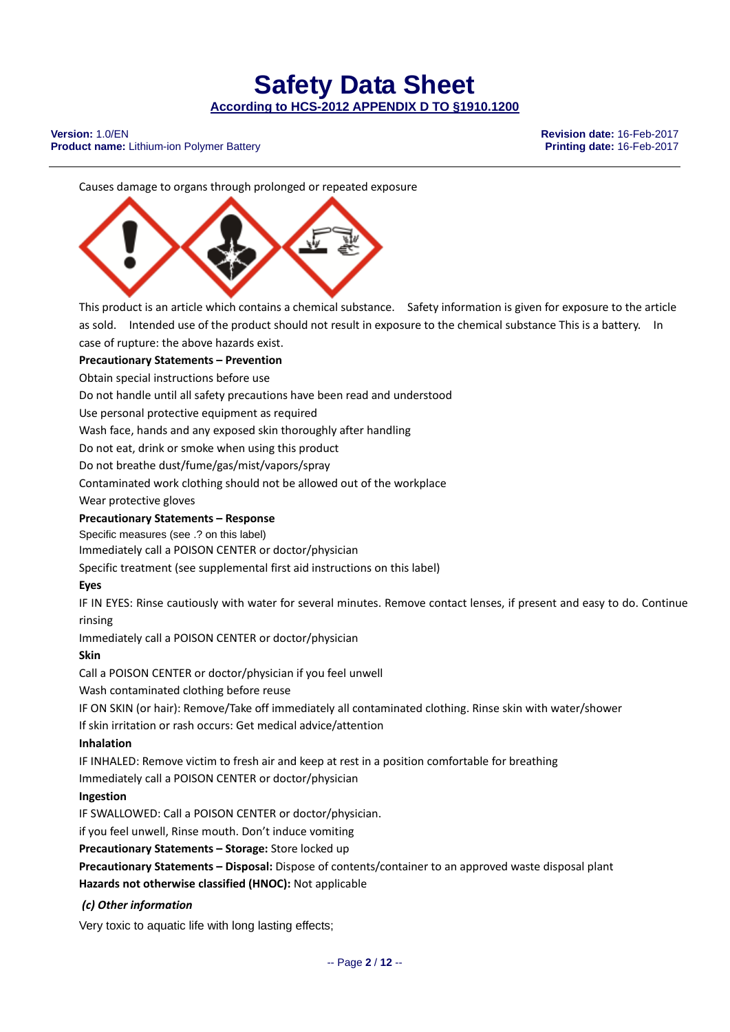**Version:** 1.0/EN **Revision date:** 16-Feb-2017 **Product name:** Lithium-ion Polymer Battery

Causes damage to organs through prolonged or repeated exposure



This product is an article which contains a chemical substance. Safety information is given for exposure to the article as sold. Intended use of the product should not result in exposure to the chemical substance This is a battery. In case of rupture: the above hazards exist.

### **Precautionary Statements – Prevention**

Obtain special instructions before use

Do not handle until all safety precautions have been read and understood

Use personal protective equipment as required

Wash face, hands and any exposed skin thoroughly after handling

Do not eat, drink or smoke when using this product

Do not breathe dust/fume/gas/mist/vapors/spray

Contaminated work clothing should not be allowed out of the workplace

Wear protective gloves

#### **Precautionary Statements – Response**

Specific measures (see .? on this label)

Immediately call a POISON CENTER or doctor/physician

Specific treatment (see supplemental first aid instructions on this label)

#### **Eyes**

IF IN EYES: Rinse cautiously with water for several minutes. Remove contact lenses, if present and easy to do. Continue rinsing

Immediately call a POISON CENTER or doctor/physician

#### **Skin**

Call a POISON CENTER or doctor/physician if you feel unwell

Wash contaminated clothing before reuse

IF ON SKIN (or hair): Remove/Take off immediately all contaminated clothing. Rinse skin with water/shower

If skin irritation or rash occurs: Get medical advice/attention

#### **Inhalation**

IF INHALED: Remove victim to fresh air and keep at rest in a position comfortable for breathing

Immediately call a POISON CENTER or doctor/physician

#### **Ingestion**

IF SWALLOWED: Call a POISON CENTER or doctor/physician.

if you feel unwell, Rinse mouth. Don't induce vomiting

**Precautionary Statements – Storage:** Store locked up

**Precautionary Statements – Disposal:** Dispose of contents/container to an approved waste disposal plant **Hazards not otherwise classified (HNOC):** Not applicable

#### *(c) Other information*

Very toxic to aquatic life with long lasting effects;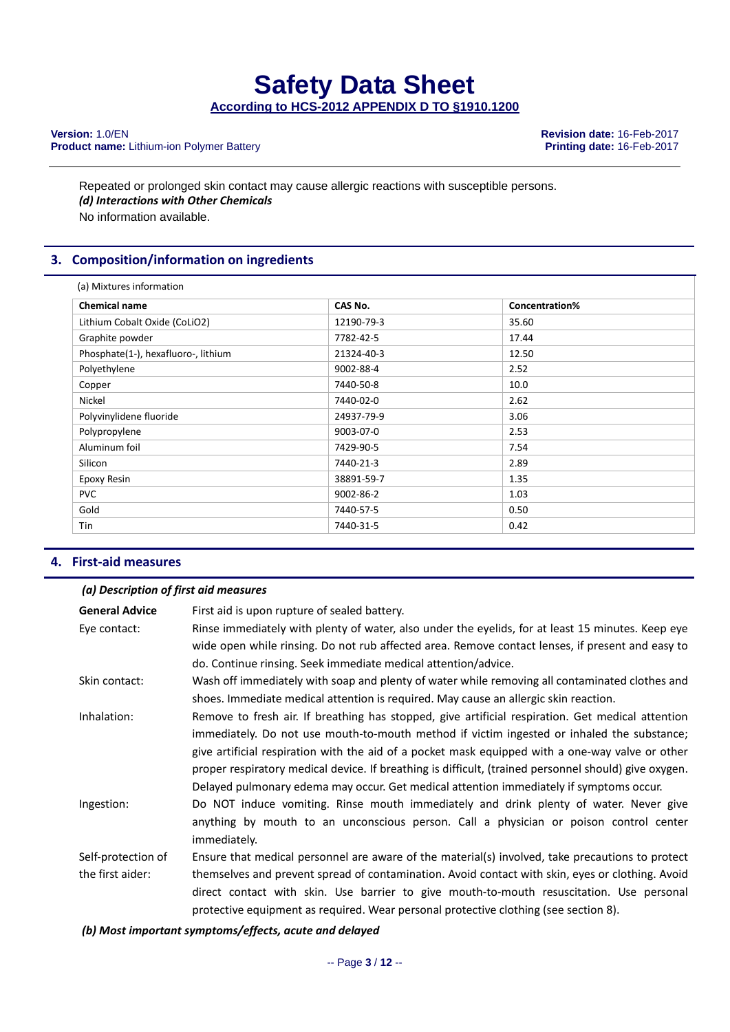**Product name:** Lithium-ion Polymer Battery

**Version:** 1.0/EN **Revision date:** 16-Feb-2017

Repeated or prolonged skin contact may cause allergic reactions with susceptible persons. *(d) Interactions with Other Chemicals* No information available.

#### **3. Composition/information on ingredients**

| <b>Chemical name</b>                | CAS No.    | Concentration% |  |
|-------------------------------------|------------|----------------|--|
| Lithium Cobalt Oxide (CoLiO2)       | 12190-79-3 | 35.60          |  |
| Graphite powder                     | 7782-42-5  | 17.44          |  |
| Phosphate(1-), hexafluoro-, lithium | 21324-40-3 | 12.50          |  |
| Polyethylene                        | 9002-88-4  | 2.52           |  |
| Copper                              | 7440-50-8  | 10.0           |  |
| Nickel                              | 7440-02-0  | 2.62           |  |
| Polyvinylidene fluoride             | 24937-79-9 | 3.06           |  |
| Polypropylene                       | 9003-07-0  | 2.53           |  |
| Aluminum foil                       | 7429-90-5  | 7.54           |  |
| Silicon                             | 7440-21-3  | 2.89           |  |
| Epoxy Resin                         | 38891-59-7 | 1.35           |  |
| <b>PVC</b>                          | 9002-86-2  | 1.03           |  |
| Gold                                | 7440-57-5  | 0.50           |  |
| Tin                                 | 7440-31-5  | 0.42           |  |

#### **4. First‐aid measures**

#### *(a) Description of first aid measures*

| <b>General Advice</b><br>Eye contact:  | First aid is upon rupture of sealed battery.<br>Rinse immediately with plenty of water, also under the eyelids, for at least 15 minutes. Keep eye                                                                                                                                                                                                                                                                                                                                                       |
|----------------------------------------|---------------------------------------------------------------------------------------------------------------------------------------------------------------------------------------------------------------------------------------------------------------------------------------------------------------------------------------------------------------------------------------------------------------------------------------------------------------------------------------------------------|
|                                        | wide open while rinsing. Do not rub affected area. Remove contact lenses, if present and easy to<br>do. Continue rinsing. Seek immediate medical attention/advice.                                                                                                                                                                                                                                                                                                                                      |
| Skin contact:                          | Wash off immediately with soap and plenty of water while removing all contaminated clothes and<br>shoes. Immediate medical attention is required. May cause an allergic skin reaction.                                                                                                                                                                                                                                                                                                                  |
| Inhalation:                            | Remove to fresh air. If breathing has stopped, give artificial respiration. Get medical attention<br>immediately. Do not use mouth-to-mouth method if victim ingested or inhaled the substance;<br>give artificial respiration with the aid of a pocket mask equipped with a one-way valve or other<br>proper respiratory medical device. If breathing is difficult, (trained personnel should) give oxygen.<br>Delayed pulmonary edema may occur. Get medical attention immediately if symptoms occur. |
| Ingestion:                             | Do NOT induce vomiting. Rinse mouth immediately and drink plenty of water. Never give<br>anything by mouth to an unconscious person. Call a physician or poison control center<br>immediately.                                                                                                                                                                                                                                                                                                          |
| Self-protection of<br>the first aider: | Ensure that medical personnel are aware of the material(s) involved, take precautions to protect<br>themselves and prevent spread of contamination. Avoid contact with skin, eyes or clothing. Avoid<br>direct contact with skin. Use barrier to give mouth-to-mouth resuscitation. Use personal<br>protective equipment as required. Wear personal protective clothing (see section 8).                                                                                                                |

*(b) Most important symptoms/effects, acute and delayed*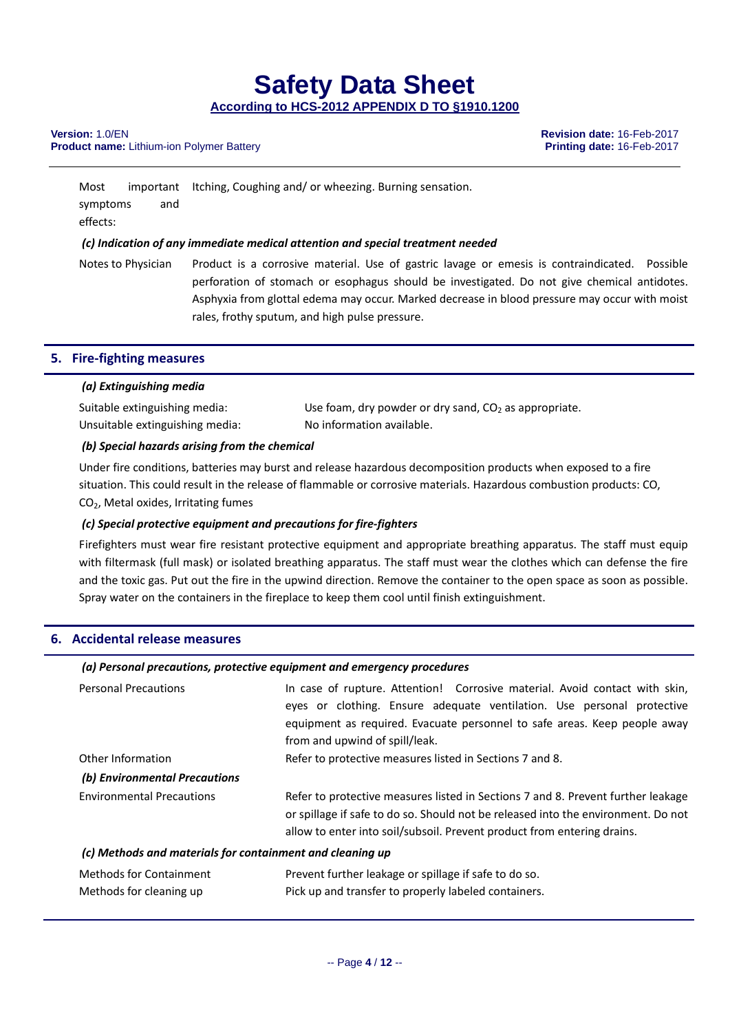**According to HCS-2012 APPENDIX D TO §1910.1200**

#### **Version:** 1.0/EN **Revision date:** 16-Feb-2017 **Product name:** Lithium-ion Polymer Battery

Most important Itching, Coughing and/ or wheezing. Burning sensation. symptoms and effects: *(c) Indication of any immediate medical attention and special treatment needed*

Notes to Physician Product is a corrosive material. Use of gastric lavage or emesis is contraindicated. Possible perforation of stomach or esophagus should be investigated. Do not give chemical antidotes. Asphyxia from glottal edema may occur. Marked decrease in blood pressure may occur with moist rales, frothy sputum, and high pulse pressure.

#### **5. Fire‐fighting measures**

#### *(a) Extinguishing media*

Unsuitable extinguishing media: No information available.

Suitable extinguishing media:  $Use$  foam, dry powder or dry sand,  $CO<sub>2</sub>$  as appropriate.

#### *(b) Special hazards arising from the chemical*

Under fire conditions, batteries may burst and release hazardous decomposition products when exposed to a fire situation. This could result in the release of flammable or corrosive materials. Hazardous combustion products: CO, CO2, Metal oxides, Irritating fumes

#### *(c) Special protective equipment and precautions for fire‐fighters*

Firefighters must wear fire resistant protective equipment and appropriate breathing apparatus. The staff must equip with filtermask (full mask) or isolated breathing apparatus. The staff must wear the clothes which can defense the fire and the toxic gas. Put out the fire in the upwind direction. Remove the container to the open space as soon as possible. Spray water on the containers in the fireplace to keep them cool until finish extinguishment.

#### **6. Accidental release measures**

#### *(a) Personal precautions, protective equipment and emergency procedures*

| <b>Personal Precautions</b>                               | In case of rupture. Attention! Corrosive material. Avoid contact with skin,<br>eyes or clothing. Ensure adequate ventilation. Use personal protective<br>equipment as required. Evacuate personnel to safe areas. Keep people away<br>from and upwind of spill/leak. |  |
|-----------------------------------------------------------|----------------------------------------------------------------------------------------------------------------------------------------------------------------------------------------------------------------------------------------------------------------------|--|
| Other Information<br>(b) Environmental Precautions        | Refer to protective measures listed in Sections 7 and 8.                                                                                                                                                                                                             |  |
| <b>Environmental Precautions</b>                          | Refer to protective measures listed in Sections 7 and 8. Prevent further leakage<br>or spillage if safe to do so. Should not be released into the environment. Do not<br>allow to enter into soil/subsoil. Prevent product from entering drains.                     |  |
| (c) Methods and materials for containment and cleaning up |                                                                                                                                                                                                                                                                      |  |
| <b>Methods for Containment</b>                            | Prevent further leakage or spillage if safe to do so.                                                                                                                                                                                                                |  |

Methods for cleaning up Pick up and transfer to properly labeled containers.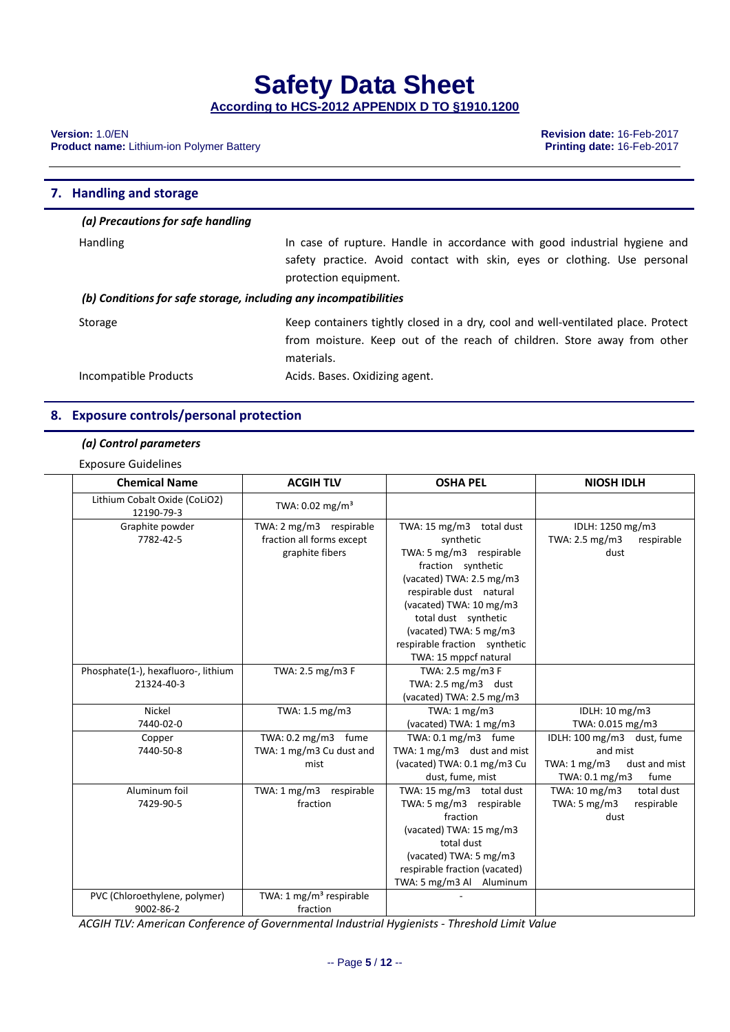**According to HCS-2012 APPENDIX D TO §1910.1200**

**Product name:** Lithium-ion Polymer Battery

**Version:** 1.0/EN **Revision date:** 16-Feb-2017

#### **7. Handling and storage**

#### *(a) Precautions for safe handling*

| <b>Handling</b>                                                  | In case of rupture. Handle in accordance with good industrial hygiene and<br>safety practice. Avoid contact with skin, eyes or clothing. Use personal<br>protection equipment. |  |
|------------------------------------------------------------------|--------------------------------------------------------------------------------------------------------------------------------------------------------------------------------|--|
| (b) Conditions for safe storage, including any incompatibilities |                                                                                                                                                                                |  |
| Storage                                                          | Keep containers tightly closed in a dry, cool and well-ventilated place. Protect<br>from moisture. Keep out of the reach of children. Store away from other<br>materials.      |  |
| Incompatible Products                                            | Acids. Bases. Oxidizing agent.                                                                                                                                                 |  |

#### **8. Exposure controls/personal protection**

#### *(a) Control parameters*

Exposure Guidelines

| <b>Chemical Name</b>                        | <b>ACGIH TLV</b>                    | <b>OSHA PEL</b>                | <b>NIOSH IDLH</b>                |
|---------------------------------------------|-------------------------------------|--------------------------------|----------------------------------|
| Lithium Cobalt Oxide (CoLiO2)<br>12190-79-3 | TWA: $0.02 \text{ mg/m}^3$          |                                |                                  |
| Graphite powder                             | TWA: 2 mg/m3 respirable             | TWA: 15 mg/m3 total dust       | IDLH: 1250 mg/m3                 |
| 7782-42-5                                   | fraction all forms except           | synthetic                      | TWA: 2.5 mg/m3<br>respirable     |
|                                             | graphite fibers                     | TWA: 5 mg/m3 respirable        | dust                             |
|                                             |                                     | fraction synthetic             |                                  |
|                                             |                                     | (vacated) TWA: 2.5 mg/m3       |                                  |
|                                             |                                     | respirable dust natural        |                                  |
|                                             |                                     | (vacated) TWA: 10 mg/m3        |                                  |
|                                             |                                     | total dust synthetic           |                                  |
|                                             |                                     | (vacated) TWA: 5 mg/m3         |                                  |
|                                             |                                     | respirable fraction synthetic  |                                  |
|                                             |                                     | TWA: 15 mppcf natural          |                                  |
| Phosphate(1-), hexafluoro-, lithium         | TWA: 2.5 mg/m3 F                    | TWA: 2.5 mg/m3 F               |                                  |
| 21324-40-3                                  |                                     | TWA: $2.5 \text{ mg/m}$ 3 dust |                                  |
|                                             |                                     | (vacated) TWA: 2.5 mg/m3       |                                  |
| Nickel                                      | TWA: 1.5 mg/m3                      | TWA: 1 mg/m3                   | IDLH: 10 mg/m3                   |
| 7440-02-0                                   |                                     | (vacated) TWA: 1 mg/m3         | TWA: 0.015 mg/m3                 |
| Copper                                      | TWA: 0.2 mg/m3 fume                 | TWA: $0.1 \text{ mg/m}$ 3 fume | IDLH: 100 mg/m3 dust, fume       |
| 7440-50-8                                   | TWA: 1 mg/m3 Cu dust and            | TWA: 1 mg/m3 dust and mist     | and mist                         |
|                                             | mist                                | (vacated) TWA: 0.1 mg/m3 Cu    | TWA: 1 mg/m3<br>dust and mist    |
|                                             |                                     | dust, fume, mist               | TWA: $0.1 \text{ mg/m3}$<br>fume |
| Aluminum foil                               | TWA: 1 mg/m3 respirable             | TWA: 15 mg/m3 total dust       | TWA: 10 mg/m3<br>total dust      |
| 7429-90-5                                   | fraction                            | TWA: 5 mg/m3 respirable        | TWA: 5 mg/m3<br>respirable       |
|                                             |                                     | fraction                       | dust                             |
|                                             |                                     | (vacated) TWA: 15 mg/m3        |                                  |
|                                             |                                     | total dust                     |                                  |
|                                             |                                     | (vacated) TWA: 5 mg/m3         |                                  |
|                                             |                                     | respirable fraction (vacated)  |                                  |
|                                             |                                     | TWA: 5 mg/m3 Al Aluminum       |                                  |
| PVC (Chloroethylene, polymer)               | TWA: 1 mg/m <sup>3</sup> respirable |                                |                                  |
| 9002-86-2                                   | fraction                            |                                |                                  |

*ACGIH TLV: American Conference of Governmental Industrial Hygienists ‐ Threshold Limit Value*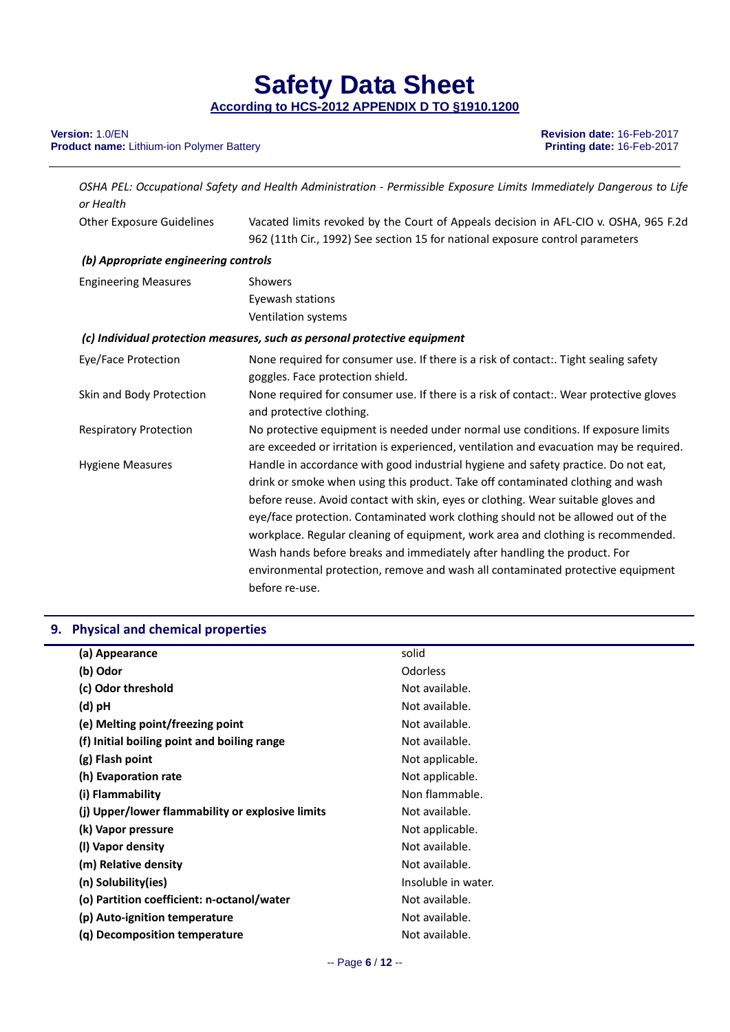## **Product name:** Lithium-ion Polymer Battery

**Version:** 1.0/EN **Revision date:** 16-Feb-2017

| or Health                            | OSHA PEL: Occupational Safety and Health Administration - Permissible Exposure Limits Immediately Dangerous to Life                                                                                                                                                                                                                                                                                                                                                                                                                                                                                                 |
|--------------------------------------|---------------------------------------------------------------------------------------------------------------------------------------------------------------------------------------------------------------------------------------------------------------------------------------------------------------------------------------------------------------------------------------------------------------------------------------------------------------------------------------------------------------------------------------------------------------------------------------------------------------------|
| <b>Other Exposure Guidelines</b>     | Vacated limits revoked by the Court of Appeals decision in AFL-CIO v. OSHA, 965 F.2d                                                                                                                                                                                                                                                                                                                                                                                                                                                                                                                                |
|                                      | 962 (11th Cir., 1992) See section 15 for national exposure control parameters                                                                                                                                                                                                                                                                                                                                                                                                                                                                                                                                       |
| (b) Appropriate engineering controls |                                                                                                                                                                                                                                                                                                                                                                                                                                                                                                                                                                                                                     |
| <b>Engineering Measures</b>          | Showers                                                                                                                                                                                                                                                                                                                                                                                                                                                                                                                                                                                                             |
|                                      | Eyewash stations                                                                                                                                                                                                                                                                                                                                                                                                                                                                                                                                                                                                    |
|                                      | Ventilation systems                                                                                                                                                                                                                                                                                                                                                                                                                                                                                                                                                                                                 |
|                                      | (c) Individual protection measures, such as personal protective equipment                                                                                                                                                                                                                                                                                                                                                                                                                                                                                                                                           |
| Eye/Face Protection                  | None required for consumer use. If there is a risk of contact:. Tight sealing safety<br>goggles. Face protection shield.                                                                                                                                                                                                                                                                                                                                                                                                                                                                                            |
| Skin and Body Protection             | None required for consumer use. If there is a risk of contact:. Wear protective gloves<br>and protective clothing.                                                                                                                                                                                                                                                                                                                                                                                                                                                                                                  |
| <b>Respiratory Protection</b>        | No protective equipment is needed under normal use conditions. If exposure limits<br>are exceeded or irritation is experienced, ventilation and evacuation may be required.                                                                                                                                                                                                                                                                                                                                                                                                                                         |
| <b>Hygiene Measures</b>              | Handle in accordance with good industrial hygiene and safety practice. Do not eat,<br>drink or smoke when using this product. Take off contaminated clothing and wash<br>before reuse. Avoid contact with skin, eyes or clothing. Wear suitable gloves and<br>eye/face protection. Contaminated work clothing should not be allowed out of the<br>workplace. Regular cleaning of equipment, work area and clothing is recommended.<br>Wash hands before breaks and immediately after handling the product. For<br>environmental protection, remove and wash all contaminated protective equipment<br>before re-use. |

### **9. Physical and chemical properties**

| (a) Appearance                                   | solid               |
|--------------------------------------------------|---------------------|
| (b) Odor                                         | <b>Odorless</b>     |
| (c) Odor threshold                               | Not available.      |
| (d) pH                                           | Not available.      |
| (e) Melting point/freezing point                 | Not available.      |
| (f) Initial boiling point and boiling range      | Not available.      |
| (g) Flash point                                  | Not applicable.     |
| (h) Evaporation rate                             | Not applicable.     |
| (i) Flammability                                 | Non flammable.      |
| (i) Upper/lower flammability or explosive limits | Not available.      |
| (k) Vapor pressure                               | Not applicable.     |
| (I) Vapor density                                | Not available.      |
| (m) Relative density                             | Not available.      |
| (n) Solubility(ies)                              | Insoluble in water. |
| (o) Partition coefficient: n-octanol/water       | Not available.      |
| (p) Auto-ignition temperature                    | Not available.      |
| (q) Decomposition temperature                    | Not available.      |
|                                                  |                     |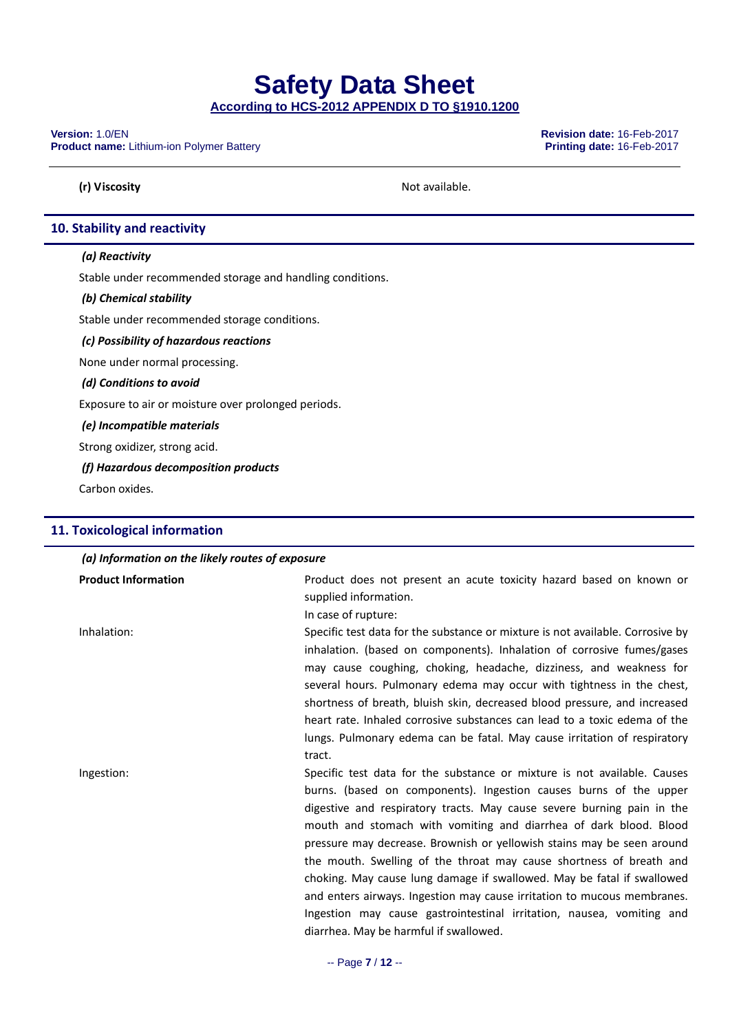**According to HCS-2012 APPENDIX D TO §1910.1200**

**Product name:** Lithium-ion Polymer Battery

**Version:** 1.0/EN **Revision date:** 16-Feb-2017

**(r)** Viscosity **Not available.** 

#### **10. Stability and reactivity**

#### *(a) Reactivity*

Stable under recommended storage and handling conditions.

#### *(b) Chemical stability*

Stable under recommended storage conditions.

*(c) Possibility of hazardous reactions*

None under normal processing.

*(d) Conditions to avoid*

Exposure to air or moisture over prolonged periods.

*(e) Incompatible materials*

Strong oxidizer, strong acid.

#### *(f) Hazardous decomposition products*

Carbon oxides.

#### **11. Toxicological information**

#### *(a) Information on the likely routes of exposure*

| <b>Product Information</b> | Product does not present an acute toxicity hazard based on known or<br>supplied information.<br>In case of rupture:                                                                                                                                                                                                                                                                                                                                                                                                                                                                                                                                                                                                   |
|----------------------------|-----------------------------------------------------------------------------------------------------------------------------------------------------------------------------------------------------------------------------------------------------------------------------------------------------------------------------------------------------------------------------------------------------------------------------------------------------------------------------------------------------------------------------------------------------------------------------------------------------------------------------------------------------------------------------------------------------------------------|
| Inhalation:                | Specific test data for the substance or mixture is not available. Corrosive by<br>inhalation. (based on components). Inhalation of corrosive fumes/gases<br>may cause coughing, choking, headache, dizziness, and weakness for<br>several hours. Pulmonary edema may occur with tightness in the chest,<br>shortness of breath, bluish skin, decreased blood pressure, and increased<br>heart rate. Inhaled corrosive substances can lead to a toxic edema of the<br>lungs. Pulmonary edema can be fatal. May cause irritation of respiratory<br>tract.                                                                                                                                                               |
| Ingestion:                 | Specific test data for the substance or mixture is not available. Causes<br>burns. (based on components). Ingestion causes burns of the upper<br>digestive and respiratory tracts. May cause severe burning pain in the<br>mouth and stomach with vomiting and diarrhea of dark blood. Blood<br>pressure may decrease. Brownish or yellowish stains may be seen around<br>the mouth. Swelling of the throat may cause shortness of breath and<br>choking. May cause lung damage if swallowed. May be fatal if swallowed<br>and enters airways. Ingestion may cause irritation to mucous membranes.<br>Ingestion may cause gastrointestinal irritation, nausea, vomiting and<br>diarrhea. May be harmful if swallowed. |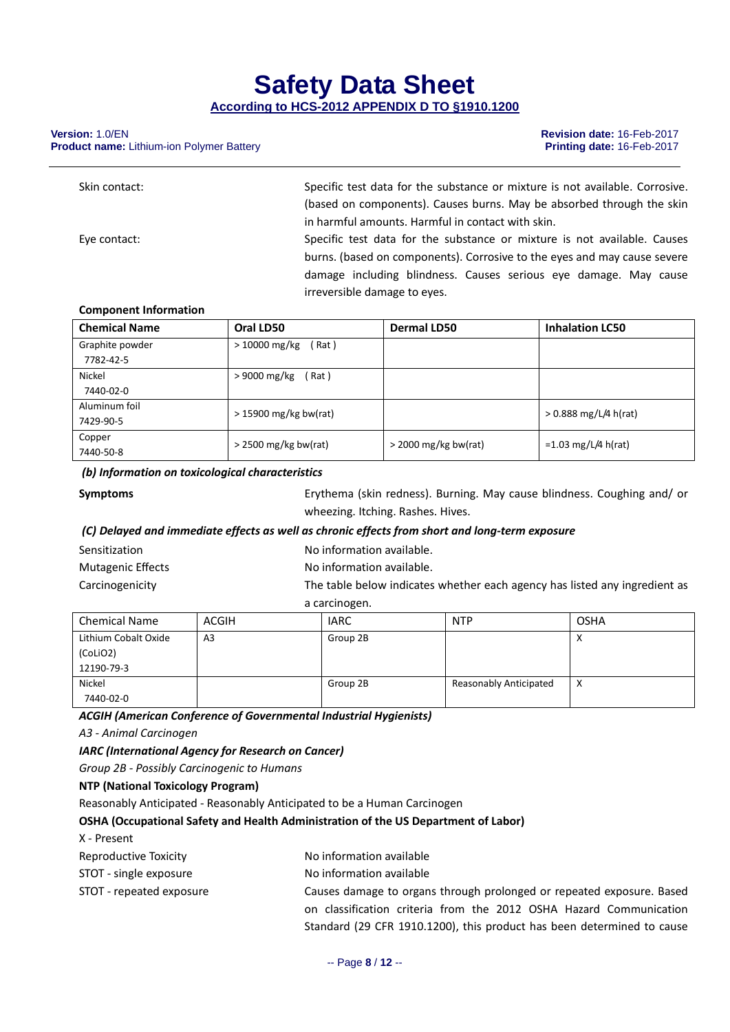**Product name:** Lithium-ion Polymer Battery

| Skin contact: | Specific test data for the substance or mixture is not available. Corrosive. |
|---------------|------------------------------------------------------------------------------|
|               | (based on components). Causes burns. May be absorbed through the skin        |
|               | in harmful amounts. Harmful in contact with skin.                            |
| Eye contact:  | Specific test data for the substance or mixture is not available. Causes     |
|               | burns. (based on components). Corrosive to the eyes and may cause severe     |
|               | damage including blindness. Causes serious eye damage. May cause             |
|               | irreversible damage to eves.                                                 |

#### **Component Information**

| <b>Chemical Name</b> | Oral LD50               | <b>Dermal LD50</b>     | <b>Inhalation LC50</b>  |
|----------------------|-------------------------|------------------------|-------------------------|
| Graphite powder      | $>10000$ mg/kg<br>Rat)  |                        |                         |
| 7782-42-5            |                         |                        |                         |
| Nickel               | $>9000$ mg/kg<br>Rat)   |                        |                         |
| 7440-02-0            |                         |                        |                         |
| Aluminum foil        | $>$ 15900 mg/kg bw(rat) |                        | $> 0.888$ mg/L/4 h(rat) |
| 7429-90-5            |                         |                        |                         |
| Copper               | $>$ 2500 mg/kg bw(rat)  | $>$ 2000 mg/kg bw(rat) | =1.03 mg/L/4 h(rat)     |
| 7440-50-8            |                         |                        |                         |

#### *(b) Information on toxicological characteristics*

| <b>Symptoms</b> |
|-----------------|
|-----------------|

**Symptoms** Erythema (skin redness). Burning. May cause blindness. Coughing and/ or wheezing. Itching. Rashes. Hives.

#### *(C) Delayed and immediate effects as well as chronic effects from short and long‐term exposure*

| Sensitization            | No information available.                                                  |
|--------------------------|----------------------------------------------------------------------------|
| <b>Mutagenic Effects</b> | No information available.                                                  |
| Carcinogenicity          | The table below indicates whether each agency has listed any ingredient as |
|                          | a carcinogen.                                                              |

| <b>Chemical Name</b> | ACGIH          | <b>IARC</b> | <b>NTP</b>             | <b>OSHA</b>            |
|----------------------|----------------|-------------|------------------------|------------------------|
| Lithium Cobalt Oxide | A <sub>3</sub> | Group 2B    |                        | $\lambda$<br>$\lambda$ |
| (CoLiO2)             |                |             |                        |                        |
| 12190-79-3           |                |             |                        |                        |
| Nickel               |                | Group 2B    | Reasonably Anticipated | x                      |
| 7440-02-0            |                |             |                        |                        |

*ACGIH (American Conference of Governmental Industrial Hygienists)*

*A3 ‐ Animal Carcinogen*

*IARC (International Agency for Research on Cancer)*

*Group 2B ‐ Possibly Carcinogenic to Humans*

#### **NTP (National Toxicology Program)**

Reasonably Anticipated ‐ Reasonably Anticipated to be a Human Carcinogen

**OSHA (Occupational Safety and Health Administration of the US Department of Labor)**

X ‐ Present

| Reproductive Toxicity | No information available |
|-----------------------|--------------------------|
|                       |                          |

- STOT single exposure No information available
- 

STOT - repeated exposure **Causes damage to organs through prolonged or repeated exposure. Based** on classification criteria from the 2012 OSHA Hazard Communication Standard (29 CFR 1910.1200), this product has been determined to cause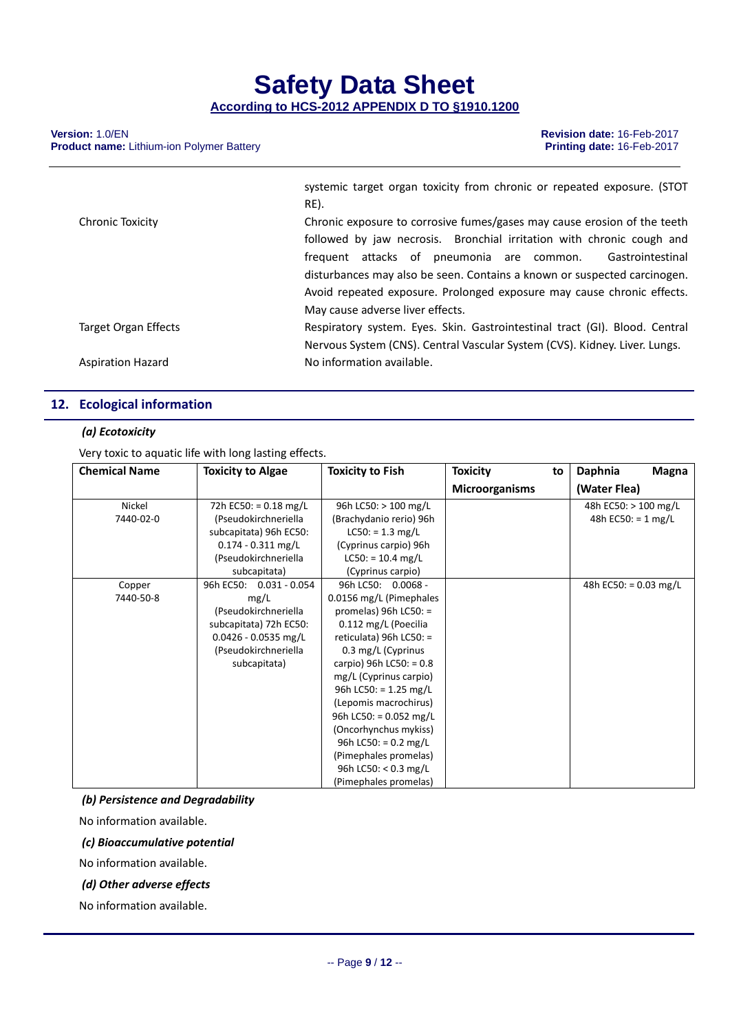**Product name:** Lithium-ion Polymer Battery

|                          | systemic target organ toxicity from chronic or repeated exposure. (STOT     |
|--------------------------|-----------------------------------------------------------------------------|
|                          | RE).                                                                        |
| Chronic Toxicity         | Chronic exposure to corrosive fumes/gases may cause erosion of the teeth    |
|                          | followed by jaw necrosis. Bronchial irritation with chronic cough and       |
|                          | frequent attacks of pneumonia are common.<br>Gastrointestinal               |
|                          | disturbances may also be seen. Contains a known or suspected carcinogen.    |
|                          | Avoid repeated exposure. Prolonged exposure may cause chronic effects.      |
|                          | May cause adverse liver effects.                                            |
| Target Organ Effects     | Respiratory system. Eyes. Skin. Gastrointestinal tract (GI). Blood. Central |
|                          | Nervous System (CNS). Central Vascular System (CVS). Kidney. Liver. Lungs.  |
| <b>Aspiration Hazard</b> | No information available.                                                   |

#### **12. Ecological information**

#### *(a) Ecotoxicity*

Very toxic to aquatic life with long lasting effects.

| <b>Chemical Name</b> | <b>Toxicity to Algae</b>     | <b>Toxicity to Fish</b>        | <b>Toxicity</b><br>to | Daphnia<br><b>Magna</b>      |
|----------------------|------------------------------|--------------------------------|-----------------------|------------------------------|
|                      |                              |                                | <b>Microorganisms</b> | (Water Flea)                 |
| Nickel               | 72h EC50: = $0.18$ mg/L      | 96h LC50: > 100 mg/L           |                       | 48h EC50: > 100 mg/L         |
| 7440-02-0            | (Pseudokirchneriella         | (Brachydanio rerio) 96h        |                       | 48h EC50: = $1 \text{ mg/L}$ |
|                      | subcapitata) 96h EC50:       | $LC50: = 1.3$ mg/L             |                       |                              |
|                      | $0.174 - 0.311$ mg/L         | (Cyprinus carpio) 96h          |                       |                              |
|                      | (Pseudokirchneriella         | $LC50: = 10.4$ mg/L            |                       |                              |
|                      | subcapitata)                 | (Cyprinus carpio)              |                       |                              |
| Copper               | 96h EC50:<br>$0.031 - 0.054$ | 96h LC50: 0.0068 -             |                       | 48h EC50: = $0.03$ mg/L      |
| 7440-50-8            | mg/L                         | 0.0156 mg/L (Pimephales        |                       |                              |
|                      | (Pseudokirchneriella         | promelas) $96h$ LC50: =        |                       |                              |
|                      | subcapitata) 72h EC50:       | 0.112 mg/L (Poecilia           |                       |                              |
|                      | $0.0426 - 0.0535$ mg/L       | reticulata) 96h LC50: =        |                       |                              |
|                      | (Pseudokirchneriella         | 0.3 mg/L (Cyprinus             |                       |                              |
|                      | subcapitata)                 | carpio) 96h LC50: = $0.8$      |                       |                              |
|                      |                              | mg/L (Cyprinus carpio)         |                       |                              |
|                      |                              | 96h LC50: = 1.25 mg/L          |                       |                              |
|                      |                              | (Lepomis macrochirus)          |                       |                              |
|                      |                              | 96h LC50: = $0.052$ mg/L       |                       |                              |
|                      |                              | (Oncorhynchus mykiss)          |                       |                              |
|                      |                              | 96h LC50: = $0.2 \text{ mg/L}$ |                       |                              |
|                      |                              | (Pimephales promelas)          |                       |                              |
|                      |                              | 96h LC50: < $0.3$ mg/L         |                       |                              |
|                      |                              | (Pimephales promelas)          |                       |                              |

*(b) Persistence and Degradability*

No information available.

*(c) Bioaccumulative potential*

No information available.

*(d) Other adverse effects*

No information available.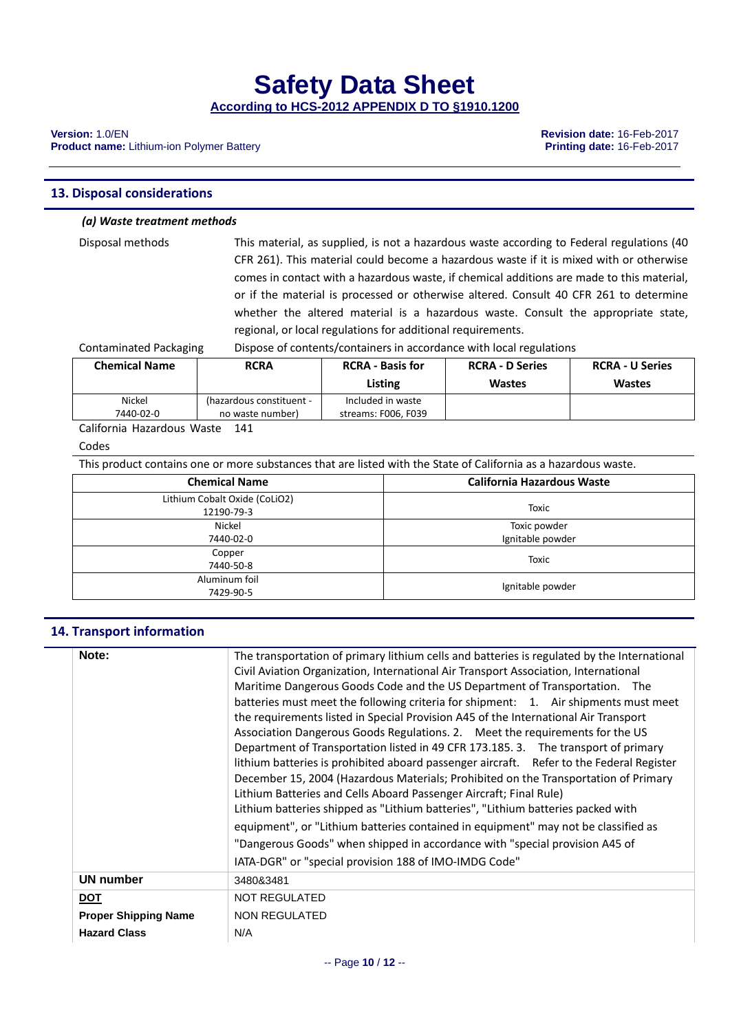**Product name:** Lithium-ion Polymer Battery

#### **13. Disposal considerations**

#### *(a) Waste treatment methods*

Disposal methods This material, as supplied, is not a hazardous waste according to Federal regulations (40 CFR 261). This material could become a hazardous waste if it is mixed with or otherwise comes in contact with a hazardous waste, if chemical additions are made to this material, or if the material is processed or otherwise altered. Consult 40 CFR 261 to determine whether the altered material is a hazardous waste. Consult the appropriate state, regional, or local regulations for additional requirements.

Contaminated Packaging Dispose of contents/containers in accordance with local regulations

| <b>Chemical Name</b>                                                                                                                                                                                                                                                           | <b>RCRA</b>              | <b>RCRA - Basis for</b><br>Listing | <b>RCRA - D Series</b><br><b>Wastes</b> | <b>RCRA - U Series</b><br><b>Wastes</b> |
|--------------------------------------------------------------------------------------------------------------------------------------------------------------------------------------------------------------------------------------------------------------------------------|--------------------------|------------------------------------|-----------------------------------------|-----------------------------------------|
| Nickel                                                                                                                                                                                                                                                                         | (hazardous constituent - | Included in waste                  |                                         |                                         |
| 7440-02-0                                                                                                                                                                                                                                                                      | no waste number)         | streams: F006, F039                |                                         |                                         |
| $\sim$ 1.0 $\sim$ 1.1 $\sim$ 1.1 $\sim$ 1.1 $\sim$ 1.1 $\sim$ 1.1 $\sim$ 1.1 $\sim$ 1.1 $\sim$ 1.1 $\sim$ 1.1 $\sim$ 1.1 $\sim$ 1.1 $\sim$ 1.1 $\sim$ 1.1 $\sim$ 1.1 $\sim$ 1.1 $\sim$ 1.1 $\sim$ 1.1 $\sim$ 1.1 $\sim$ 1.1 $\sim$ 1.1 $\sim$ 1.1 $\sim$ 1.1 $\sim$ 1.1 $\sim$ |                          |                                    |                                         |                                         |

California Hazardous Waste 141

#### Codes

This product contains one or more substances that are listed with the State of California as a hazardous waste.

| <b>Chemical Name</b>                        | <b>California Hazardous Waste</b> |  |  |
|---------------------------------------------|-----------------------------------|--|--|
| Lithium Cobalt Oxide (CoLiO2)<br>12190-79-3 | <b>Toxic</b>                      |  |  |
| Nickel<br>7440-02-0                         | Toxic powder<br>Ignitable powder  |  |  |
| Copper<br>7440-50-8                         | <b>Toxic</b>                      |  |  |
| Aluminum foil<br>7429-90-5                  | Ignitable powder                  |  |  |

#### **14. Transport information**

| Note:                       | The transportation of primary lithium cells and batteries is regulated by the International<br>Civil Aviation Organization, International Air Transport Association, International<br>Maritime Dangerous Goods Code and the US Department of Transportation. The<br>batteries must meet the following criteria for shipment: 1. Air shipments must meet<br>the requirements listed in Special Provision A45 of the International Air Transport<br>Association Dangerous Goods Regulations. 2. Meet the requirements for the US<br>Department of Transportation listed in 49 CFR 173.185. 3. The transport of primary<br>lithium batteries is prohibited aboard passenger aircraft. Refer to the Federal Register<br>December 15, 2004 (Hazardous Materials; Prohibited on the Transportation of Primary<br>Lithium Batteries and Cells Aboard Passenger Aircraft; Final Rule)<br>Lithium batteries shipped as "Lithium batteries", "Lithium batteries packed with<br>equipment", or "Lithium batteries contained in equipment" may not be classified as<br>"Dangerous Goods" when shipped in accordance with "special provision A45 of<br>IATA-DGR" or "special provision 188 of IMO-IMDG Code" |
|-----------------------------|-------------------------------------------------------------------------------------------------------------------------------------------------------------------------------------------------------------------------------------------------------------------------------------------------------------------------------------------------------------------------------------------------------------------------------------------------------------------------------------------------------------------------------------------------------------------------------------------------------------------------------------------------------------------------------------------------------------------------------------------------------------------------------------------------------------------------------------------------------------------------------------------------------------------------------------------------------------------------------------------------------------------------------------------------------------------------------------------------------------------------------------------------------------------------------------------------|
| <b>UN number</b>            | 3480&3481                                                                                                                                                                                                                                                                                                                                                                                                                                                                                                                                                                                                                                                                                                                                                                                                                                                                                                                                                                                                                                                                                                                                                                                       |
| <b>DOT</b>                  | NOT REGULATED                                                                                                                                                                                                                                                                                                                                                                                                                                                                                                                                                                                                                                                                                                                                                                                                                                                                                                                                                                                                                                                                                                                                                                                   |
| <b>Proper Shipping Name</b> | NON REGULATED                                                                                                                                                                                                                                                                                                                                                                                                                                                                                                                                                                                                                                                                                                                                                                                                                                                                                                                                                                                                                                                                                                                                                                                   |
| <b>Hazard Class</b>         | N/A                                                                                                                                                                                                                                                                                                                                                                                                                                                                                                                                                                                                                                                                                                                                                                                                                                                                                                                                                                                                                                                                                                                                                                                             |

**Version:** 1.0/EN **Revision date:** 16-Feb-2017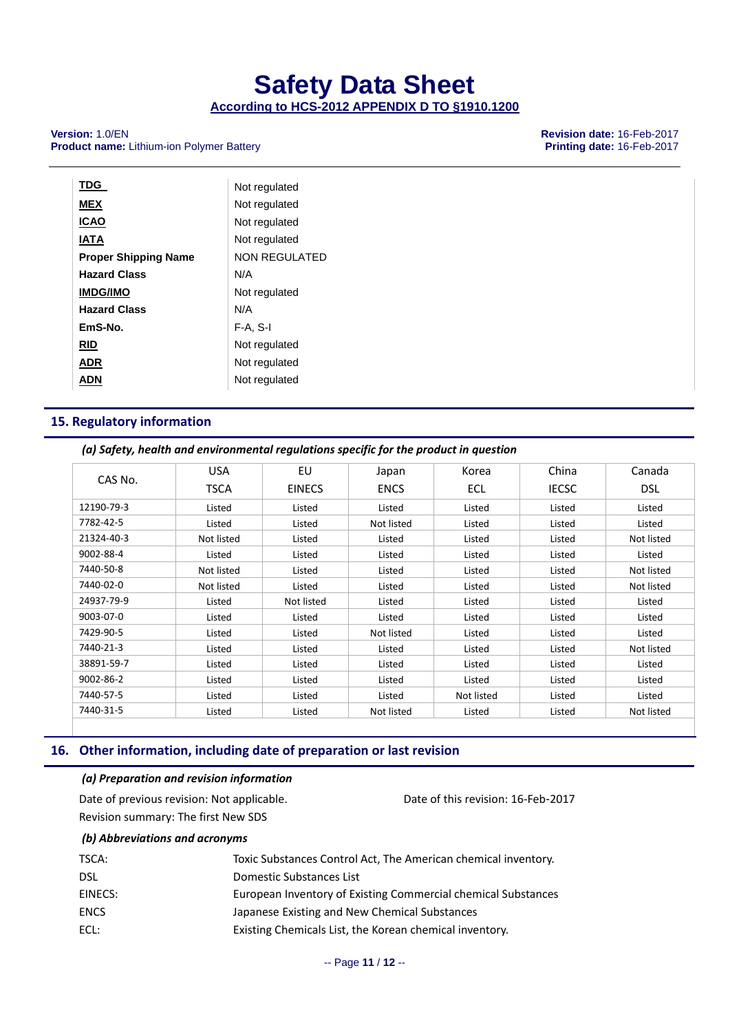**According to HCS-2012 APPENDIX D TO §1910.1200**

#### **Version:** 1.0/EN **Product name:** Lithium-ion Polymer Battery **Revision State:** 16-Feb-2017 **Product name:** Lithium-ion Polymer Battery **Product name:** Lithium-ion Polymer Battery

| <b>TDG</b>                  | Not regulated        |
|-----------------------------|----------------------|
| <b>MEX</b>                  | Not regulated        |
| <b>ICAO</b>                 | Not regulated        |
| <b>IATA</b>                 | Not regulated        |
| <b>Proper Shipping Name</b> | <b>NON REGULATED</b> |
| <b>Hazard Class</b>         | N/A                  |
| <b>IMDG/IMO</b>             | Not regulated        |
| <b>Hazard Class</b>         | N/A                  |
| EmS-No.                     | $F-A. S-I$           |
| <b>RID</b>                  | Not regulated        |
| ADR                         | Not regulated        |
| ADN                         | Not regulated        |

#### **15. Regulatory information**

#### *(a) Safety, health and environmental regulations specific for the product in question*

| CAS No.    | <b>USA</b> | EU            | Japan       | Korea      | China        | Canada     |
|------------|------------|---------------|-------------|------------|--------------|------------|
|            | TSCA       | <b>EINECS</b> | <b>ENCS</b> | ECL        | <b>IECSC</b> | <b>DSL</b> |
| 12190-79-3 | Listed     | Listed        | Listed      | Listed     | Listed       | Listed     |
| 7782-42-5  | Listed     | Listed        | Not listed  | Listed     | Listed       | Listed     |
| 21324-40-3 | Not listed | Listed        | Listed      | Listed     | Listed       | Not listed |
| 9002-88-4  | Listed     | Listed        | Listed      | Listed     | Listed       | Listed     |
| 7440-50-8  | Not listed | Listed        | Listed      | Listed     | Listed       | Not listed |
| 7440-02-0  | Not listed | Listed        | Listed      | Listed     | Listed       | Not listed |
| 24937-79-9 | Listed     | Not listed    | Listed      | Listed     | Listed       | Listed     |
| 9003-07-0  | Listed     | Listed        | Listed      | Listed     | Listed       | Listed     |
| 7429-90-5  | Listed     | Listed        | Not listed  | Listed     | Listed       | Listed     |
| 7440-21-3  | Listed     | Listed        | Listed      | Listed     | Listed       | Not listed |
| 38891-59-7 | Listed     | Listed        | Listed      | Listed     | Listed       | Listed     |
| 9002-86-2  | Listed     | Listed        | Listed      | Listed     | Listed       | Listed     |
| 7440-57-5  | Listed     | Listed        | Listed      | Not listed | Listed       | Listed     |
| 7440-31-5  | Listed     | Listed        | Not listed  | Listed     | Listed       | Not listed |

#### **16. Other information, including date of preparation or last revision**

#### *(a) Preparation and revision information*

| Date of previous revision: Not applicable. | Date of this revision: 16-Feb-2017 |
|--------------------------------------------|------------------------------------|
| Revision summary: The first New SDS        |                                    |

#### *(b) Abbreviations and acronyms*

| TSCA:   | Toxic Substances Control Act, The American chemical inventory. |
|---------|----------------------------------------------------------------|
| DSL     | Domestic Substances List                                       |
| EINECS: | European Inventory of Existing Commercial chemical Substances  |
| ENCS    | Japanese Existing and New Chemical Substances                  |
| ECL:    | Existing Chemicals List, the Korean chemical inventory.        |